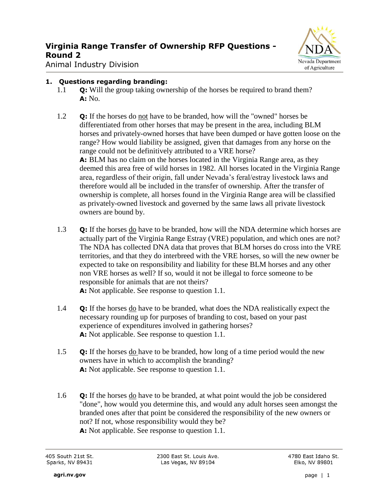

Animal Industry Division

#### **1. Questions regarding branding:**

- 1.1 **Q:** Will the group taking ownership of the horses be required to brand them? **A:** No.
- 1.2 **Q:** If the horses do not have to be branded, how will the "owned" horses be differentiated from other horses that may be present in the area, including BLM horses and privately-owned horses that have been dumped or have gotten loose on the range? How would liability be assigned, given that damages from any horse on the range could not be definitively attributed to a VRE horse? **A:** BLM has no claim on the horses located in the Virginia Range area, as they deemed this area free of wild horses in 1982. All horses located in the Virginia Range area, regardless of their origin, fall under Nevada's feral/estray livestock laws and therefore would all be included in the transfer of ownership. After the transfer of ownership is complete, all horses found in the Virginia Range area will be classified as privately-owned livestock and governed by the same laws all private livestock
	- owners are bound by.
- 1.3 **Q:** If the horses do have to be branded, how will the NDA determine which horses are actually part of the Virginia Range Estray (VRE) population, and which ones are not? The NDA has collected DNA data that proves that BLM horses do cross into the VRE territories, and that they do interbreed with the VRE horses, so will the new owner be expected to take on responsibility and liability for these BLM horses and any other non VRE horses as well? If so, would it not be illegal to force someone to be responsible for animals that are not theirs? **A:** Not applicable. See response to question 1.1.
- 1.4 **Q:** If the horses do have to be branded, what does the NDA realistically expect the necessary rounding up for purposes of branding to cost, based on your past experience of expenditures involved in gathering horses? **A:** Not applicable. See response to question 1.1.
- 1.5 **Q:** If the horses do have to be branded, how long of a time period would the new owners have in which to accomplish the branding? **A:** Not applicable. See response to question 1.1.
- 1.6 **Q:** If the horses do have to be branded, at what point would the job be considered "done", how would you determine this, and would any adult horses seen amongst the branded ones after that point be considered the responsibility of the new owners or not? If not, whose responsibility would they be? **A:** Not applicable. See response to question 1.1.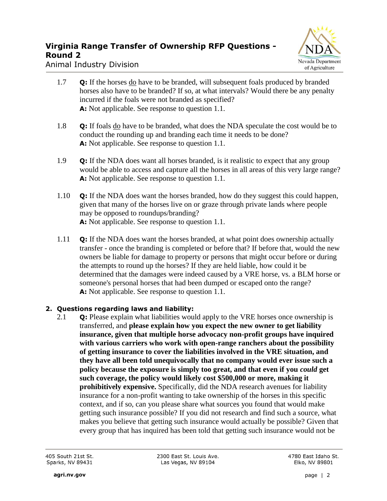

Animal Industry Division

- 1.7 **Q:** If the horses do have to be branded, will subsequent foals produced by branded horses also have to be branded? If so, at what intervals? Would there be any penalty incurred if the foals were not branded as specified? A: Not applicable. See response to question 1.1.
- 1.8 **Q:** If foals do have to be branded, what does the NDA speculate the cost would be to conduct the rounding up and branding each time it needs to be done? **A:** Not applicable. See response to question 1.1.
- 1.9 **Q:** If the NDA does want all horses branded, is it realistic to expect that any group would be able to access and capture all the horses in all areas of this very large range? **A:** Not applicable. See response to question 1.1.
- 1.10 **Q:** If the NDA does want the horses branded, how do they suggest this could happen, given that many of the horses live on or graze through private lands where people may be opposed to roundups/branding? **A:** Not applicable. See response to question 1.1.
- 1.11 **Q:** If the NDA does want the horses branded, at what point does ownership actually transfer - once the branding is completed or before that? If before that, would the new owners be liable for damage to property or persons that might occur before or during the attempts to round up the horses? If they are held liable, how could it be determined that the damages were indeed caused by a VRE horse, vs. a BLM horse or someone's personal horses that had been dumped or escaped onto the range? **A:** Not applicable. See response to question 1.1.

#### **2. Questions regarding laws and liability:**

2.1 **Q:** Please explain what liabilities would apply to the VRE horses once ownership is transferred, and **please explain how you expect the new owner to get liability insurance, given that multiple horse advocacy non-profit groups have inquired with various carriers who work with open-range ranchers about the possibility of getting insurance to cover the liabilities involved in the VRE situation, and they have all been told unequivocally that no company would ever issue such a policy because the exposure is simply too great, and that even if you** *could* **get such coverage, the policy would likely cost \$500,000 or more, making it prohibitively expensive.** Specifically, did the NDA research avenues for liability insurance for a non-profit wanting to take ownership of the horses in this specific context, and if so, can you please share what sources you found that would make getting such insurance possible? If you did not research and find such a source, what makes you believe that getting such insurance would actually be possible? Given that every group that has inquired has been told that getting such insurance would not be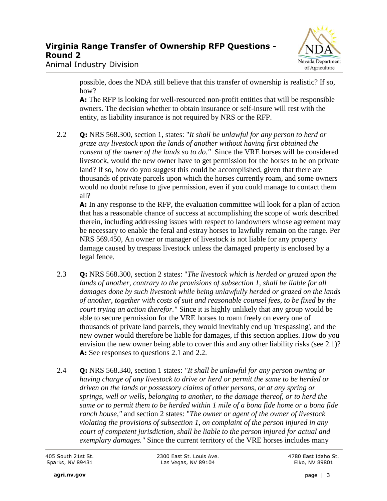

Animal Industry Division

possible, does the NDA still believe that this transfer of ownership is realistic? If so, how?

**A:** The RFP is looking for well-resourced non-profit entities that will be responsible owners. The decision whether to obtain insurance or self-insure will rest with the entity, as liability insurance is not required by NRS or the RFP.

2.2 **Q:** NRS 568.300, section 1, states: "*It shall be unlawful for any person to herd or graze any livestock upon the lands of another without having first obtained the consent of the owner of the lands so to do."* Since the VRE horses will be considered livestock, would the new owner have to get permission for the horses to be on private land? If so, how do you suggest this could be accomplished, given that there are thousands of private parcels upon which the horses currently roam, and some owners would no doubt refuse to give permission, even if you could manage to contact them all?

**A:** In any response to the RFP, the evaluation committee will look for a plan of action that has a reasonable chance of success at accomplishing the scope of work described therein, including addressing issues with respect to landowners whose agreement may be necessary to enable the feral and estray horses to lawfully remain on the range. Per NRS 569.450, An owner or manager of livestock is not liable for any property damage caused by trespass livestock unless the damaged property is enclosed by a legal fence.

- 2.3 **Q:** NRS 568.300, section 2 states: "*The livestock which is herded or grazed upon the*  lands of another, contrary to the provisions of subsection 1, shall be liable for all *damages done by such livestock while being unlawfully herded or grazed on the lands of another, together with costs of suit and reasonable counsel fees, to be fixed by the court trying an action therefor."* Since it is highly unlikely that any group would be able to secure permission for the VRE horses to roam freely on every one of thousands of private land parcels, they would inevitably end up 'trespassing', and the new owner would therefore be liable for damages, if this section applies. How do you envision the new owner being able to cover this and any other liability risks (see 2.1)? **A:** See responses to questions 2.1 and 2.2.
- 2.4 **Q:** NRS 568.340, section 1 states: *"It shall be unlawful for any person owning or having charge of any livestock to drive or herd or permit the same to be herded or driven on the lands or possessory claims of other persons, or at any spring or springs, well or wells, belonging to another, to the damage thereof, or to herd the same or to permit them to be herded within 1 mile of a bona fide home or a bona fide ranch house,"* and section 2 states: "*The owner or agent of the owner of livestock violating the provisions of subsection 1, on complaint of the person injured in any court of competent jurisdiction, shall be liable to the person injured for actual and exemplary damages."* Since the current territory of the VRE horses includes many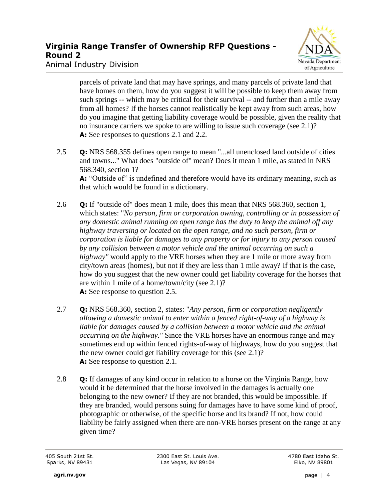

Animal Industry Division

parcels of private land that may have springs, and many parcels of private land that have homes on them, how do you suggest it will be possible to keep them away from such springs -- which may be critical for their survival -- and further than a mile away from all homes? If the horses cannot realistically be kept away from such areas, how do you imagine that getting liability coverage would be possible, given the reality that no insurance carriers we spoke to are willing to issue such coverage (see 2.1)? **A:** See responses to questions 2.1 and 2.2.

- 2.5 **Q:** NRS 568.355 defines open range to mean "...all unenclosed land outside of cities and towns..." What does "outside of" mean? Does it mean 1 mile, as stated in NRS 568.340, section 1? A: "Outside of" is undefined and therefore would have its ordinary meaning, such as that which would be found in a dictionary.
- 2.6 **Q:** If "outside of" does mean 1 mile, does this mean that NRS 568.360, section 1, which states: "*No person, firm or corporation owning, controlling or in possession of any domestic animal running on open range has the duty to keep the animal off any highway traversing or located on the open range, and no such person, firm or corporation is liable for damages to any property or for injury to any person caused by any collision between a motor vehicle and the animal occurring on such a highway"* would apply to the VRE horses when they are 1 mile or more away from city/town areas (homes), but not if they are less than 1 mile away? If that is the case, how do you suggest that the new owner could get liability coverage for the horses that are within 1 mile of a home/town/city (see 2.1)? **A:** See response to question 2.5.
- 2.7 **Q:** NRS 568.360, section 2, states: "*Any person, firm or corporation negligently allowing a domestic animal to enter within a fenced right-of-way of a highway is liable for damages caused by a collision between a motor vehicle and the animal occurring on the highway."* Since the VRE horses have an enormous range and may sometimes end up within fenced rights-of-way of highways, how do you suggest that the new owner could get liability coverage for this (see 2.1)? **A:** See response to question 2.1.
- 2.8 **Q:** If damages of any kind occur in relation to a horse on the Virginia Range, how would it be determined that the horse involved in the damages is actually one belonging to the new owner? If they are not branded, this would be impossible. If they are branded, would persons suing for damages have to have some kind of proof, photographic or otherwise, of the specific horse and its brand? If not, how could liability be fairly assigned when there are non-VRE horses present on the range at any given time?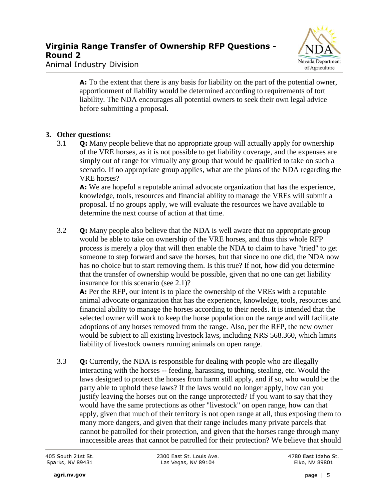

Animal Industry Division

**A:** To the extent that there is any basis for liability on the part of the potential owner, apportionment of liability would be determined according to requirements of tort liability. The NDA encourages all potential owners to seek their own legal advice before submitting a proposal.

### **3. Other questions:**

3.1 **Q:** Many people believe that no appropriate group will actually apply for ownership of the VRE horses, as it is not possible to get liability coverage, and the expenses are simply out of range for virtually any group that would be qualified to take on such a scenario. If no appropriate group applies, what are the plans of the NDA regarding the VRE horses?

**A:** We are hopeful a reputable animal advocate organization that has the experience, knowledge, tools, resources and financial ability to manage the VREs will submit a proposal. If no groups apply, we will evaluate the resources we have available to determine the next course of action at that time.

3.2 **Q:** Many people also believe that the NDA is well aware that no appropriate group would be able to take on ownership of the VRE horses, and thus this whole RFP process is merely a ploy that will then enable the NDA to claim to have "tried" to get someone to step forward and save the horses, but that since no one did, the NDA now has no choice but to start removing them. Is this true? If not, how did you determine that the transfer of ownership would be possible, given that no one can get liability insurance for this scenario (see 2.1)?

**A:** Per the RFP, our intent is to place the ownership of the VREs with a reputable animal advocate organization that has the experience, knowledge, tools, resources and financial ability to manage the horses according to their needs. It is intended that the selected owner will work to keep the horse population on the range and will facilitate adoptions of any horses removed from the range. Also, per the RFP, the new owner would be subject to all existing livestock laws, including NRS 568.360, which limits liability of livestock owners running animals on open range.

3.3 **Q:** Currently, the NDA is responsible for dealing with people who are illegally interacting with the horses -- feeding, harassing, touching, stealing, etc. Would the laws designed to protect the horses from harm still apply, and if so, who would be the party able to uphold these laws? If the laws would no longer apply, how can you justify leaving the horses out on the range unprotected? If you want to say that they would have the same protections as other "livestock" on open range, how can that apply, given that much of their territory is not open range at all, thus exposing them to many more dangers, and given that their range includes many private parcels that cannot be patrolled for their protection, and given that the horses range through many inaccessible areas that cannot be patrolled for their protection? We believe that should